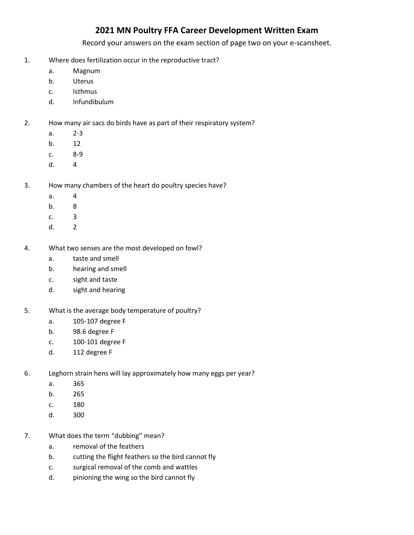## **2021 MN Poultry FFA Career Development Written Exam**

Record your answers on the exam section of page two on your e-scansheet.

- 1. Where does fertilization occur in the reproductive tract?
	- a. Magnum
	- b. Uterus
	- c. Isthmus
	- d. Infundibulum
- 2. How many air sacs do birds have as part of their respiratory system?
	- a. 2-3
	- b. 12
	- c. 8-9
	- d. 4
- 3. How many chambers of the heart do poultry species have?
	- a. 4
	- b. 8
	- c. 3
	- d. 2
- 4. What two senses are the most developed on fowl?
	- a. taste and smell
	- b. hearing and smell
	- c. sight and taste
	- d. sight and hearing
- 5. What is the average body temperature of poultry?
	- a. 105-107 degree F
	- b. 98.6 degree F
	- c. 100-101 degree F
	- d. 112 degree F
- 6. Leghorn strain hens will lay approximately how many eggs per year?
	- a. 365
	- b. 265
	- c. 180
	- d. 300
- 7. What does the term "dubbing" mean?
	- a. removal of the feathers
	- b. cutting the flight feathers so the bird cannot fly
	- c. surgical removal of the comb and wattles
	- d. pinioning the wing so the bird cannot fly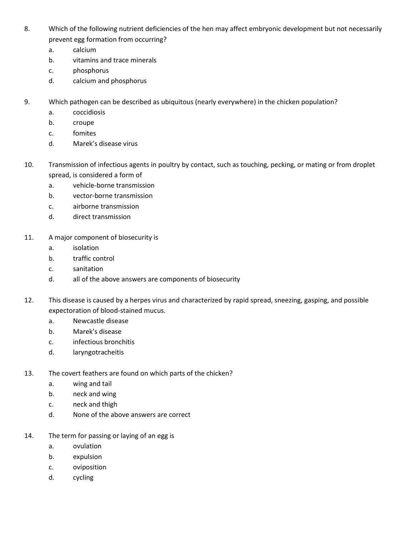- 8. Which of the following nutrient deficiencies of the hen may affect embryonic development but not necessarily prevent egg formation from occurring?
	- a. calcium
	- b. vitamins and trace minerals
	- c. phosphorus
	- d. calcium and phosphorus
- 9. Which pathogen can be described as ubiquitous (nearly everywhere) in the chicken population?
	- a. coccidiosis
	- b. croupe
	- c. fomites
	- d. Marek's disease virus
- 10. Transmission of infectious agents in poultry by contact, such as touching, pecking, or mating or from droplet spread, is considered a form of
	- a. vehicle-borne transmission
	- b. vector-borne transmission
	- c. airborne transmission
	- d. direct transmission
- 11. A major component of biosecurity is
	- a. isolation
	- b. traffic control
	- c. sanitation
	- d. all of the above answers are components of biosecurity
- 12. This disease is caused by a herpes virus and characterized by rapid spread, sneezing, gasping, and possible expectoration of blood-stained mucus.
	- a. Newcastle disease
	- b. Marek's disease
	- c. infectious bronchitis
	- d. laryngotracheitis
- 13. The covert feathers are found on which parts of the chicken?
	- a. wing and tail
	- b. neck and wing
	- c. neck and thigh
	- d. None of the above answers are correct
- 14. The term for passing or laying of an egg is
	- a. ovulation
	- b. expulsion
	- c. oviposition
	- d. cycling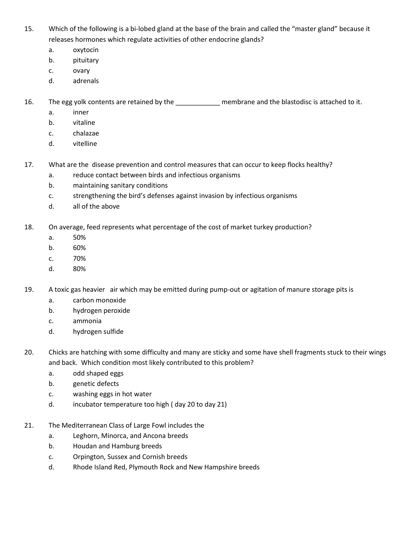- 15. Which of the following is a bi-lobed gland at the base of the brain and called the "master gland" because it releases hormones which regulate activities of other endocrine glands?
	- a. oxytocin
	- b. pituitary
	- c. ovary
	- d. adrenals

16. The egg yolk contents are retained by the \_\_\_\_\_\_\_\_\_\_\_\_\_ membrane and the blastodisc is attached to it.

- a. inner
- b. vitaline
- c. chalazae
- d. vitelline
- 17. What are the disease prevention and control measures that can occur to keep flocks healthy?
	- a. reduce contact between birds and infectious organisms
	- b. maintaining sanitary conditions
	- c. strengthening the bird's defenses against invasion by infectious organisms
	- d. all of the above
- 18. On average, feed represents what percentage of the cost of market turkey production?
	- a. 50%
	- b. 60%
	- c. 70%
	- d. 80%
- 19. A toxic gas heavier air which may be emitted during pump-out or agitation of manure storage pits is
	- a. carbon monoxide
	- b. hydrogen peroxide
	- c. ammonia
	- d. hydrogen sulfide
- 20. Chicks are hatching with some difficulty and many are sticky and some have shell fragments stuck to their wings and back. Which condition most likely contributed to this problem?
	- a. odd shaped eggs
	- b. genetic defects
	- c. washing eggs in hot water
	- d. incubator temperature too high ( day 20 to day 21)
- 21. The Mediterranean Class of Large Fowl includes the
	- a. Leghorn, Minorca, and Ancona breeds
	- b. Houdan and Hamburg breeds
	- c. Orpington, Sussex and Cornish breeds
	- d. Rhode Island Red, Plymouth Rock and New Hampshire breeds